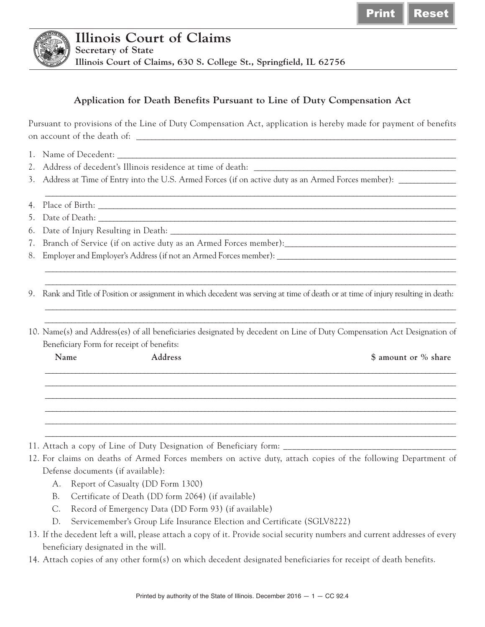

## **Application for Death Benefits Pursuant to Line of Duty Compensation Act**

Pursuant to provisions of the Line of Duty Compensation Act, application is hereby made for payment of benefits on account of the death of:

- 1. Name of Decedent: \_\_\_\_\_\_\_\_\_\_\_\_\_\_\_\_\_\_\_\_\_\_\_\_\_\_\_\_\_\_\_\_\_\_\_\_\_\_\_\_\_\_\_\_\_\_\_\_\_\_\_\_\_\_\_\_\_\_\_\_\_\_\_\_\_\_\_\_\_\_\_\_\_\_\_\_\_\_\_\_\_\_\_\_\_\_\_\_\_
- 2. Address of decedent's Illinois residence at time of death: \_\_\_\_\_\_\_\_\_\_\_\_\_\_\_\_\_\_
- 3. Address at Time of Entry into the U.S. Armed Forces (if on active duty as an Armed Forces member): \_\_\_\_\_\_\_\_\_\_\_\_\_\_\_
- 4. Place of Birth: \_\_\_\_\_\_\_\_\_\_\_\_\_\_\_\_\_\_\_\_\_\_\_\_\_\_\_\_\_\_\_\_\_\_\_\_\_\_\_\_\_\_\_\_\_\_\_\_\_\_\_\_\_\_\_\_\_\_\_\_\_\_\_\_\_\_\_\_\_\_\_\_\_\_\_\_\_\_\_\_\_\_\_\_\_\_\_\_\_\_\_\_\_\_
- 5. Date of Death:
- 6. Date of Injury Resulting in Death: \_\_\_\_\_\_\_\_\_\_\_\_\_\_\_\_\_\_\_\_\_\_\_\_\_\_\_\_\_\_\_\_\_\_\_\_\_\_\_\_\_\_\_\_\_\_\_\_\_\_\_\_\_\_\_\_\_\_\_\_\_\_\_\_\_\_\_\_\_\_\_\_\_\_\_
- 7. Branch of Service (if on active duty as an Armed Forces member):\_\_\_\_\_\_\_\_\_\_\_\_\_\_\_\_\_\_\_\_\_\_\_\_\_\_\_\_\_\_\_\_\_\_\_\_\_\_\_\_\_\_\_\_\_
- 8. Employer and Employer's Address (if not an Armed Forces member): \_\_\_\_\_\_\_\_\_\_\_\_

9. Rank and Title of Position or assignment in which decedent was serving at time of death or at time of injury resulting in death:

10. Name(s) and Address(es) of all beneficiaries designated by decedent on Line of Duty Compensation Act Designation of Beneficiary Form for receipt of benefits:

| $\overline{\phantom{a}}$<br>Name | $\overline{\phantom{a}}$<br>Address | \$ amount or % share |
|----------------------------------|-------------------------------------|----------------------|
|                                  |                                     |                      |
|                                  |                                     |                      |
|                                  |                                     |                      |
|                                  |                                     |                      |

- 11. Attach a copy of Line of Duty Designation of Beneficiary form: \_\_\_\_\_\_\_\_\_\_\_\_\_\_\_\_\_\_\_\_\_\_\_\_\_\_\_\_\_\_\_\_\_\_\_\_\_\_\_
- 12. For claims on deaths of Armed Forces members on active duty, attach copies of the following Department of Defense documents (if available):
	- A. Report of Casualty (DD Form 1300)
	- B. Certificate of Death (DD form 2064) (if available)
	- C. Record of Emergency Data (DD Form 93) (if available)
	- D. Servicemember's Group Life Insurance Election and Certificate (SGLV8222)
- 13. If the decedent left a will, please attach a copy of it. Provide social security numbers and current addresses of every beneficiary designated in the will.
- 14. Attach copies of any other form(s) on which decedent designated beneficiaries for receipt of death benefits.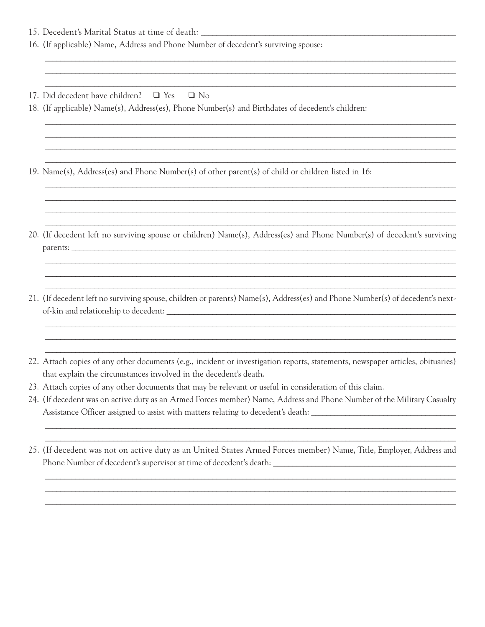- 15. Decedent's Marital Status at time of death: \_\_\_\_\_\_\_\_\_\_\_\_\_\_\_\_\_\_\_\_\_\_\_\_\_\_\_\_\_\_\_\_
- 16. (If applicable) Name, Address and Phone Number of decedent's surviving spouse:
- 17. Did decedent have children? □ Yes  $\Box$  No
- 18. (If applicable) Name(s), Address(es), Phone Number(s) and Birthdates of decedent's children:
- 19. Name(s), Address(es) and Phone Number(s) of other parent(s) of child or children listed in 16:
- 20. (If decedent left no surviving spouse or children) Name(s), Address(es) and Phone Number(s) of decedent's surviving parents:
- 21. (If decedent left no surviving spouse, children or parents) Name(s), Address(es) and Phone Number(s) of decedent's nextof-kin and relationship to decedent:
- 22. Attach copies of any other documents (e.g., incident or investigation reports, statements, newspaper articles, obituaries) that explain the circumstances involved in the decedent's death.
- 23. Attach copies of any other documents that may be relevant or useful in consideration of this claim.
- 24. (If decedent was on active duty as an Armed Forces member) Name, Address and Phone Number of the Military Casualty Assistance Officer assigned to assist with matters relating to decedent's death:
- 25. (If decedent was not on active duty as an United States Armed Forces member) Name, Title, Employer, Address and Phone Number of decedent's supervisor at time of decedent's death: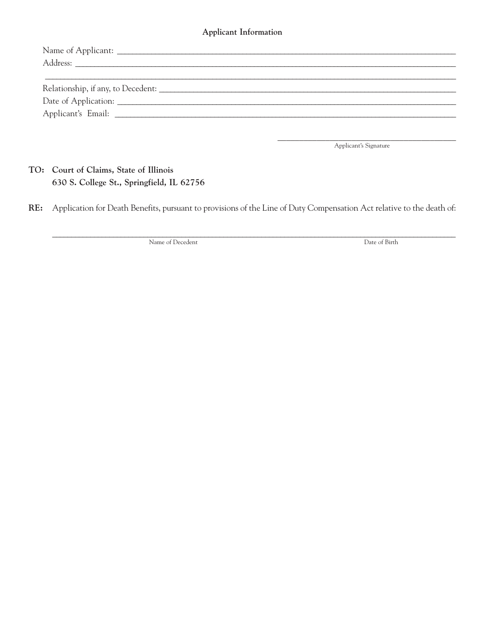## Applicant Information

Applicant's Signature

TO: Court of Claims, State of Illinois 630 S. College St., Springfield, IL 62756

Application for Death Benefits, pursuant to provisions of the Line of Duty Compensation Act relative to the death of: RE:

Name of Decedent

Date of Birth